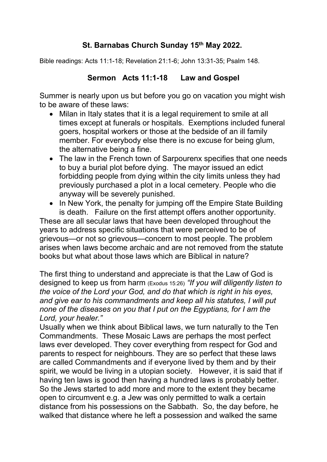## **St. Barnabas Church Sunday 15 th May 2022.**

Bible readings: Acts 11:1-18; Revelation 21:1-6; John 13:31-35; Psalm 148.

## **Sermon Acts 11:1-18 Law and Gospel**

Summer is nearly upon us but before you go on vacation you might wish to be aware of these laws:

- Milan in Italy states that it is a legal requirement to smile at all times except at funerals or hospitals. Exemptions included funeral goers, hospital workers or those at the bedside of an ill family member. For everybody else there is no excuse for being glum, the alternative being a fine.
- The law in the French town of Sarpourenx specifies that one needs to buy a burial plot before dying. The mayor issued an edict forbidding people from dying within the city limits unless they had previously purchased a plot in a local cemetery. People who die anyway will be severely punished.
- In New York, the penalty for jumping off the Empire State Building is death. Failure on the first attempt offers another opportunity.

These are all secular laws that have been developed throughout the years to address specific situations that were perceived to be of grievous—or not so grievous—concern to most people. The problem arises when laws become archaic and are not removed from the statute books but what about those laws which are Biblical in nature?

The first thing to understand and appreciate is that the Law of God is designed to keep us from harm (Exodus 15:26)*"If you will diligently listen to the voice of the Lord your God, and do that which is right in his eyes, and give ear to his commandments and keep all his statutes, I will put none of the diseases on you that I put on the Egyptians, for I am the Lord, your healer."*

Usually when we think about Biblical laws, we turn naturally to the Ten Commandments. These Mosaic Laws are perhaps the most perfect laws ever developed. They cover everything from respect for God and parents to respect for neighbours. They are so perfect that these laws are called Commandments and if everyone lived by them and by their spirit, we would be living in a utopian society. However, it is said that if having ten laws is good then having a hundred laws is probably better. So the Jews started to add more and more to the extent they became open to circumvent e.g. a Jew was only permitted to walk a certain distance from his possessions on the Sabbath. So, the day before, he walked that distance where he left a possession and walked the same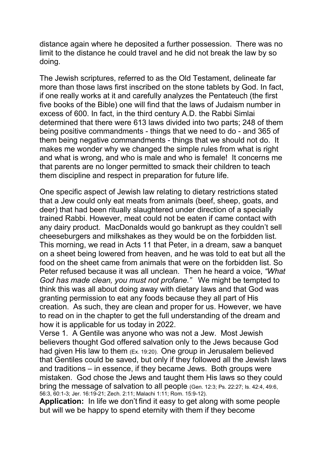distance again where he deposited a further possession. There was no limit to the distance he could travel and he did not break the law by so doing.

The Jewish scriptures, referred to as the Old Testament, delineate far more than those laws first inscribed on the stone tablets by God. In fact, if one really works at it and carefully analyzes the Pentateuch (the first five books of the Bible) one will find that the laws of Judaism number in excess of 600. In fact, in the third century A.D. the Rabbi Simlai determined that there were 613 laws divided into two parts; 248 of them being positive commandments - things that we need to do - and 365 of them being negative commandments - things that we should not do. It makes me wonder why we changed the simple rules from what is right and what is wrong, and who is male and who is female! It concerns me that parents are no longer permitted to smack their children to teach them discipline and respect in preparation for future life.

One specific aspect of Jewish law relating to dietary restrictions stated that a Jew could only eat meats from animals (beef, sheep, goats, and deer) that had been ritually slaughtered under direction of a specially trained Rabbi. However, meat could not be eaten if came contact with any dairy product. MacDonalds would go bankrupt as they couldn't sell cheeseburgers and milkshakes as they would be on the forbidden list. This morning, we read in Acts 11 that Peter, in a dream, saw a banquet on a sheet being lowered from heaven, and he was told to eat but all the food on the sheet came from animals that were on the forbidden list. So Peter refused because it was all unclean. Then he heard a voice, *"What God has made clean, you must not profane."* We might be tempted to think this was all about doing away with dietary laws and that God was granting permission to eat any foods because they all part of His creation. As such, they are clean and proper for us. However, we have to read on in the chapter to get the full understanding of the dream and how it is applicable for us today in 2022.

Verse 1. A Gentile was anyone who was not a Jew. Most Jewish believers thought God offered salvation only to the Jews because God had given His law to them (Ex. 19:20). One group in Jerusalem believed that Gentiles could be saved, but only if they followed all the Jewish laws and traditions  $-$  in essence, if they became Jews. Both groups were mistaken. God chose the Jews and taught them His laws so they could bring the message of salvation to all people (Gen. 12:3; Ps. 22:27; Is. 42:4, 49:6, 56:3, 60:1-3; Jer. 16:19-21; Zech. 2:11; Malachi 1:11; Rom. 15:9-12).

**Application:** In life we don't find it easy to get along with some people but will we be happy to spend eternity with them if they become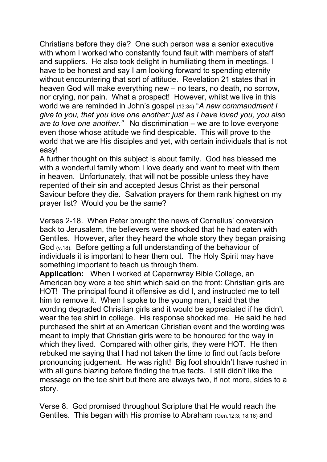Christians before they die? One such person was a senior executive with whom I worked who constantly found fault with members of staff and suppliers. He also took delight in humiliating them in meetings. I have to be honest and say I am looking forward to spending eternity without encountering that sort of attitude. Revelation 21 states that in heaven God will make everything new – no tears, no death, no sorrow, nor crying, nor pain. What a prospect! However, whilst we live in this world we are reminded in John's gospel(13:34) "*A new commandment I give to you, that you love one another: just as I have loved you, you also are to love one another."*No discrimination – we are to love everyone even those whose attitude we find despicable. This will prove to the world that we are His disciples and yet, with certain individuals that is not easy!

A further thought on this subject is about family. God has blessed me with a wonderful family whom I love dearly and want to meet with them in heaven. Unfortunately, that will not be possible unless they have repented of their sin and accepted Jesus Christ as their personal Saviour before they die. Salvation prayers for them rank highest on my prayer list? Would you be the same?

Verses 2-18. When Peter brought the news of Cornelius' conversion back to Jerusalem, the believers were shocked that he had eaten with Gentiles. However, after they heard the whole story they began praising God (v.18). Before getting a full understanding of the behaviour of individuals it is important to hear them out. The Holy Spirit may have something important to teach us through them.

**Application:** When I worked at Capernwray Bible College, an American boy wore a tee shirt which said on the front: Christian girls are HOT! The principal found it offensive as did I, and instructed me to tell him to remove it. When I spoke to the young man, I said that the wording degraded Christian girls and it would be appreciated if he didn't wear the tee shirt in college. His response shocked me. He said he had purchased the shirt at an American Christian event and the wording was meant to imply that Christian girls were to be honoured for the way in which they lived. Compared with other girls, they were HOT. He then rebuked me saying that I had not taken the time to find out facts before pronouncing judgement. He was right! Big foot shouldn't have rushed in with all guns blazing before finding the true facts. I still didn't like the message on the tee shirt but there are always two, if not more, sides to a story.

Verse 8. God promised throughout Scripture that He would reach the Gentiles. This began with His promise to Abraham (Gen.12:3; 18:18) and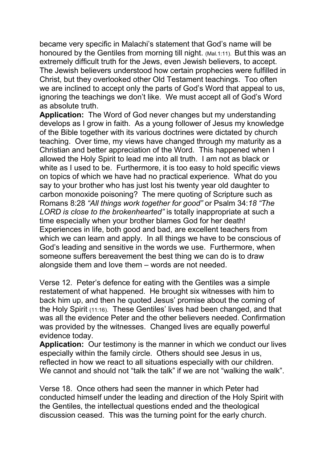became very specific in Malachi's statement that God's name will be honoured by the Gentiles from morning till night. (Mal.1:11). But this was an extremely difficult truth for the Jews, even Jewish believers, to accept. The Jewish believers understood how certain prophecies were fulfilled in Christ, but they overlooked other Old Testament teachings. Too often we are inclined to accept only the parts of God's Word that appeal to us, ignoring the teachings we don't like. We must accept all of God's Word as absolute truth.

**Application:** The Word of God never changes but my understanding develops as I grow in faith. As a young follower of Jesus my knowledge of the Bible together with its various doctrines were dictated by church teaching. Over time, my views have changed through my maturity as a Christian and better appreciation of the Word. This happened when I allowed the Holy Spirit to lead me into all truth. I am not as black or white as I used to be. Furthermore, it is too easy to hold specific views on topics of which we have had no practical experience. What do you say to your brother who has just lost his twenty year old daughter to carbon monoxide poisoning? The mere quoting of Scripture such as Romans 8:28 *"All things work together for good"* or Psalm 34:*18 "The LORD is close to the brokenhearted"* is totally inappropriate at such a time especially when your brother blames God for her death! Experiences in life, both good and bad, are excellent teachers from which we can learn and apply. In all things we have to be conscious of God's leading and sensitive in the words we use. Furthermore, when someone suffers bereavement the best thing we can do is to draw alongside them and love them – words are not needed.

Verse 12. Peter's defence for eating with the Gentiles was a simple restatement of what happened. He brought six witnesses with him to back him up, and then he quoted Jesus' promise about the coming of the Holy Spirit (11:16). These Gentiles' lives had been changed, and that was all the evidence Peter and the other believers needed. Confirmation was provided by the witnesses. Changed lives are equally powerful evidence today.

**Application:** Our testimony is the manner in which we conduct our lives especially within the family circle. Others should see Jesus in us, reflected in how we react to all situations especially with our children. We cannot and should not "talk the talk" if we are not "walking the walk".

Verse 18. Once others had seen the manner in which Peter had conducted himself under the leading and direction of the Holy Spirit with the Gentiles, the intellectual questions ended and the theological discussion ceased. This was the turning point for the early church.